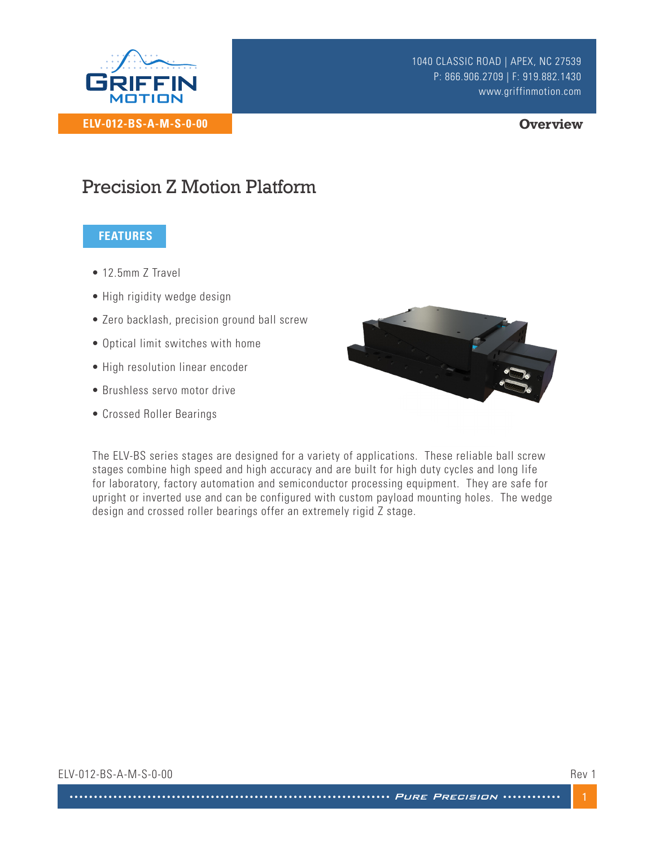

#### **Overview**

## Precision Z Motion Platform

### **FEATURES**

- 12.5mm 7 Travel
- High rigidity wedge design
- Zero backlash, precision ground ball screw
- Optical limit switches with home
- High resolution linear encoder
- Brushless servo motor drive
- Crossed Roller Bearings



The ELV-BS series stages are designed for a variety of applications. These reliable ball screw stages combine high speed and high accuracy and are built for high duty cycles and long life for laboratory, factory automation and semiconductor processing equipment. They are safe for upright or inverted use and can be configured with custom payload mounting holes. The wedge design and crossed roller bearings offer an extremely rigid Z stage.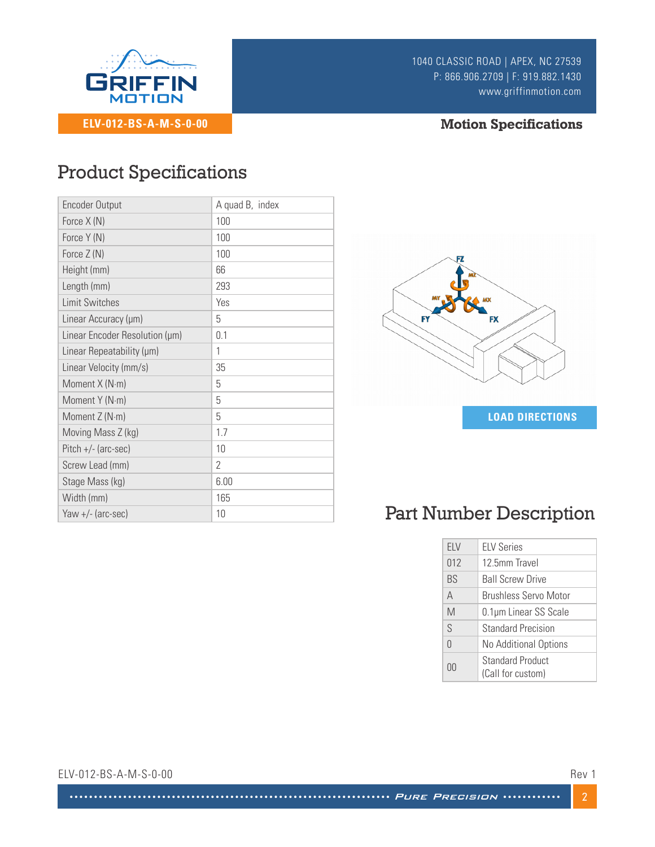

1040 CLASSIC ROAD | APEX, NC 27539 P: 866.906.2709 | F: 919.882.1430 www.griffinmotion.com

### **Motion Specifications**

## Product Specifications

| <b>Encoder Output</b>          | A quad B, index |
|--------------------------------|-----------------|
| Force X (N)                    | 100             |
| Force Y (N)                    | 100             |
| Force Z (N)                    | 100             |
| Height (mm)                    | 66              |
| Length (mm)                    | 293             |
| <b>Limit Switches</b>          | Yes             |
| Linear Accuracy (µm)           | 5               |
| Linear Encoder Resolution (µm) | 0.1             |
| Linear Repeatability (µm)      | 1               |
| Linear Velocity (mm/s)         | 35              |
| Moment X (N·m)                 | 5               |
| Moment Y (N·m)                 | 5               |
| Moment Z (N·m)                 | 5               |
| Moving Mass Z (kg)             | 1.7             |
| $Pitch +/- (arc-sec)$          | 10              |
| Screw Lead (mm)                | $\mathcal{P}$   |
| Stage Mass (kg)                | 6.00            |
| Width (mm)                     | 165             |
| Yaw +/- (arc-sec)              | 10              |



# Part Number Description

| ELV       | <b>ELV Series</b>                            |
|-----------|----------------------------------------------|
| 012       | 12.5mm Travel                                |
| <b>BS</b> | <b>Ball Screw Drive</b>                      |
| A         | Brushless Servo Motor                        |
| M         | 0.1µm Linear SS Scale                        |
| S         | <b>Standard Precision</b>                    |
| $\cap$    | No Additional Options                        |
| NU        | <b>Standard Product</b><br>(Call for custom) |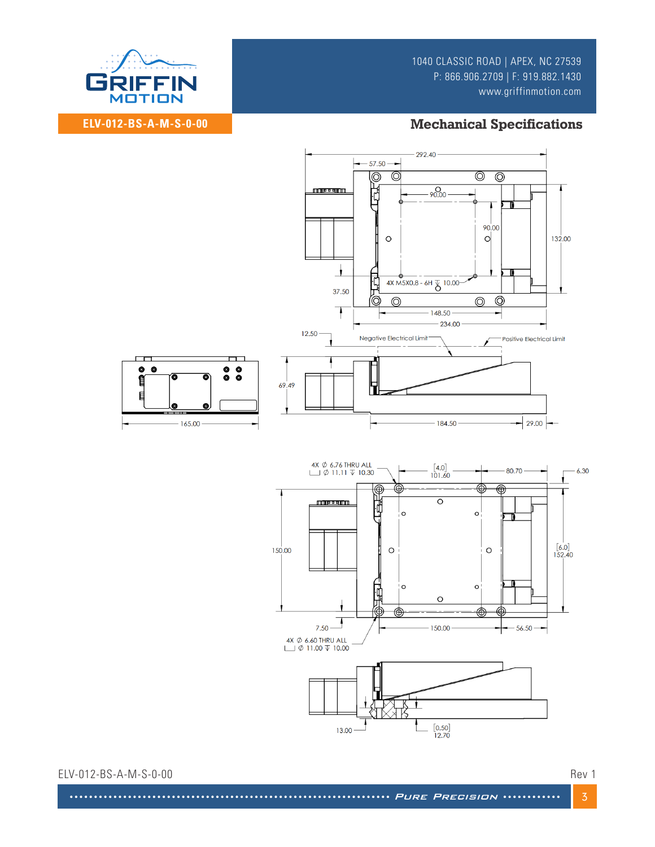1040 CLASSIC ROAD | APEX, NC 27539 P: 866.906.2709 | F: 919.882.1430 www.griffinmotion.com



**ELV-012-BS-A-M-S-0-00**

### **Mechanical Specifications**



ELV-012-BS-A-M-S-0-00 Rev 1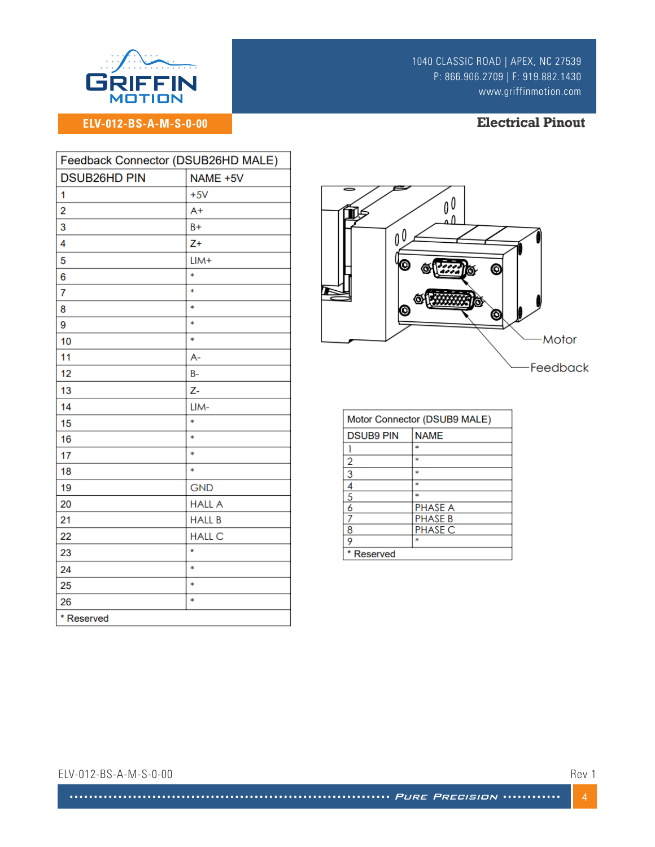

**ELV-012-BS-A-M-S-0-00**

1040 CLASSIC ROAD | APEX, NC 27539 P: 866.906.2709 | F: 919.882.1430 www.griffinmotion.com

#### **Electrical Pinout**

| Feedback Connector (DSUB26HD MALE) |               |  |
|------------------------------------|---------------|--|
| <b>DSUB26HD PIN</b>                | NAME +5V      |  |
| 1                                  | $+5V$         |  |
| $\overline{2}$                     | $A+$          |  |
| 3                                  | $B+$          |  |
| 4                                  | $Z+$          |  |
| 5                                  | $LIM+$        |  |
| 6                                  | *             |  |
| 7                                  | $\ast$        |  |
| 8                                  | *             |  |
| 9                                  | $\ast$        |  |
| 10                                 | *             |  |
| 11                                 | A-            |  |
| 12                                 | $B -$         |  |
| 13                                 | Z-            |  |
| 14                                 | LIM-          |  |
| 15                                 | *             |  |
| 16                                 | $\ast$        |  |
| 17                                 | *             |  |
| 18                                 | $\ast$        |  |
| 19                                 | <b>GND</b>    |  |
| 20                                 | <b>HALL A</b> |  |
| 21                                 | <b>HALL B</b> |  |
| 22                                 | <b>HALL C</b> |  |
| 23                                 | $\star$       |  |
| 24                                 | $\ast$        |  |
| 25                                 | *             |  |
| 26                                 | *             |  |
| * Reserved                         |               |  |



| Motor Connector (DSUB9 MALE) |                |  |
|------------------------------|----------------|--|
| <b>DSUB9 PIN</b>             | <b>NAME</b>    |  |
|                              |                |  |
| 2                            | $\ast$         |  |
| $\overline{3}$               | $\ast$         |  |
| 4                            | $\ast$         |  |
| $\overline{5}$               |                |  |
| 6                            | <b>PHASE A</b> |  |
|                              | <b>PHASE B</b> |  |
| 8                            | <b>PHASE C</b> |  |
| 9                            | $\ast$         |  |
| * Reserved                   |                |  |

ELV-012-BS-A-M-S-0-00